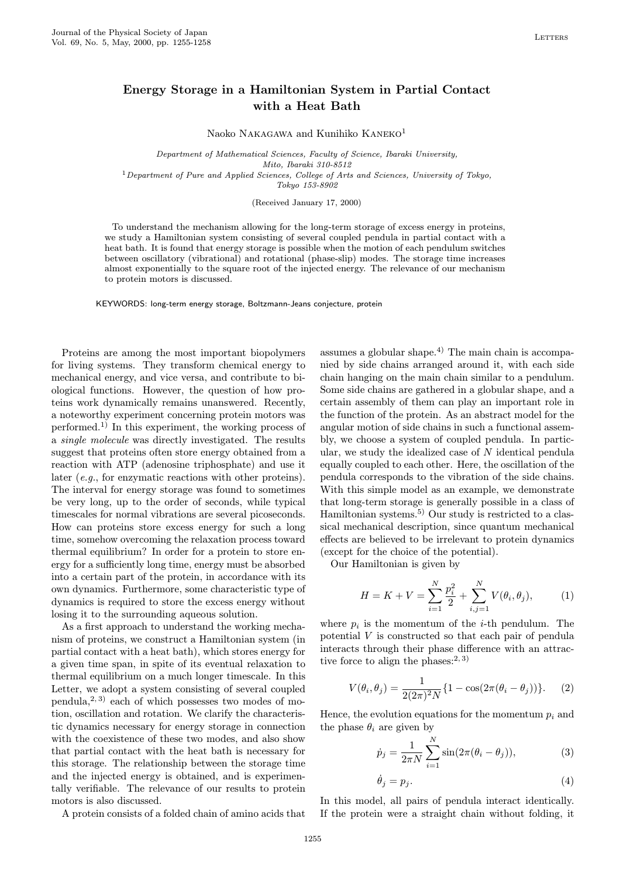## Energy Storage in a Hamiltonian System in Partial Contact with a Heat Bath

Naoko NAKAGAWA and Kunihiko KANEKO<sup>1</sup>

Department of Mathematical Sciences, Faculty of Science, Ibaraki University, Mito, Ibaraki 310-8512 <sup>1</sup>Department of Pure and Applied Sciences, College of Arts and Sciences, University of Tokyo,

Tokyo 153-8902

(Received January 17, 2000)

To understand the mechanism allowing for the long-term storage of excess energy in proteins, we study a Hamiltonian system consisting of several coupled pendula in partial contact with a heat bath. It is found that energy storage is possible when the motion of each pendulum switches between oscillatory (vibrational) and rotational (phase-slip) modes. The storage time increases almost exponentially to the square root of the injected energy. The relevance of our mechanism to protein motors is discussed.

KEYWORDS: long-term energy storage, Boltzmann-Jeans conjecture, protein

Proteins are among the most important biopolymers for living systems. They transform chemical energy to mechanical energy, and vice versa, and contribute to biological functions. However, the question of how proteins work dynamically remains unanswered. Recently, a noteworthy experiment concerning protein motors was performed.<sup>1)</sup> In this experiment, the working process of a single molecule was directly investigated. The results suggest that proteins often store energy obtained from a reaction with ATP (adenosine triphosphate) and use it later (e.g., for enzymatic reactions with other proteins). The interval for energy storage was found to sometimes be very long, up to the order of seconds, while typical timescales for normal vibrations are several picoseconds. How can proteins store excess energy for such a long time, somehow overcoming the relaxation process toward thermal equilibrium? In order for a protein to store energy for a sufficiently long time, energy must be absorbed into a certain part of the protein, in accordance with its own dynamics. Furthermore, some characteristic type of dynamics is required to store the excess energy without losing it to the surrounding aqueous solution.

As a first approach to understand the working mechanism of proteins, we construct a Hamiltonian system (in partial contact with a heat bath), which stores energy for a given time span, in spite of its eventual relaxation to thermal equilibrium on a much longer timescale. In this Letter, we adopt a system consisting of several coupled pendula,<sup>2, 3)</sup> each of which possesses two modes of motion, oscillation and rotation. We clarify the characteristic dynamics necessary for energy storage in connection with the coexistence of these two modes, and also show that partial contact with the heat bath is necessary for this storage. The relationship between the storage time and the injected energy is obtained, and is experimentally verifiable. The relevance of our results to protein motors is also discussed.

A protein consists of a folded chain of amino acids that

assumes a globular shape. $4$ ) The main chain is accompanied by side chains arranged around it, with each side chain hanging on the main chain similar to a pendulum. Some side chains are gathered in a globular shape, and a certain assembly of them can play an important role in the function of the protein. As an abstract model for the angular motion of side chains in such a functional assembly, we choose a system of coupled pendula. In particular, we study the idealized case of N identical pendula equally coupled to each other. Here, the oscillation of the pendula corresponds to the vibration of the side chains. With this simple model as an example, we demonstrate that long-term storage is generally possible in a class of Hamiltonian systems.5) Our study is restricted to a classical mechanical description, since quantum mechanical effects are believed to be irrelevant to protein dynamics (except for the choice of the potential).

Our Hamiltonian is given by

$$
H = K + V = \sum_{i=1}^{N} \frac{p_i^2}{2} + \sum_{i,j=1}^{N} V(\theta_i, \theta_j),
$$
 (1)

where  $p_i$  is the momentum of the *i*-th pendulum. The potential V is constructed so that each pair of pendula interacts through their phase difference with an attractive force to align the phases:  $2,3)$ 

$$
V(\theta_i, \theta_j) = \frac{1}{2(2\pi)^2 N} \{1 - \cos(2\pi(\theta_i - \theta_j))\}.
$$
 (2)

Hence, the evolution equations for the momentum  $p_i$  and the phase  $\theta_i$  are given by

$$
\dot{p}_j = \frac{1}{2\pi N} \sum_{i=1}^{N} \sin(2\pi(\theta_i - \theta_j)),
$$
\n(3)

$$
\dot{\theta}_j = p_j. \tag{4}
$$

In this model, all pairs of pendula interact identically. If the protein were a straight chain without folding, it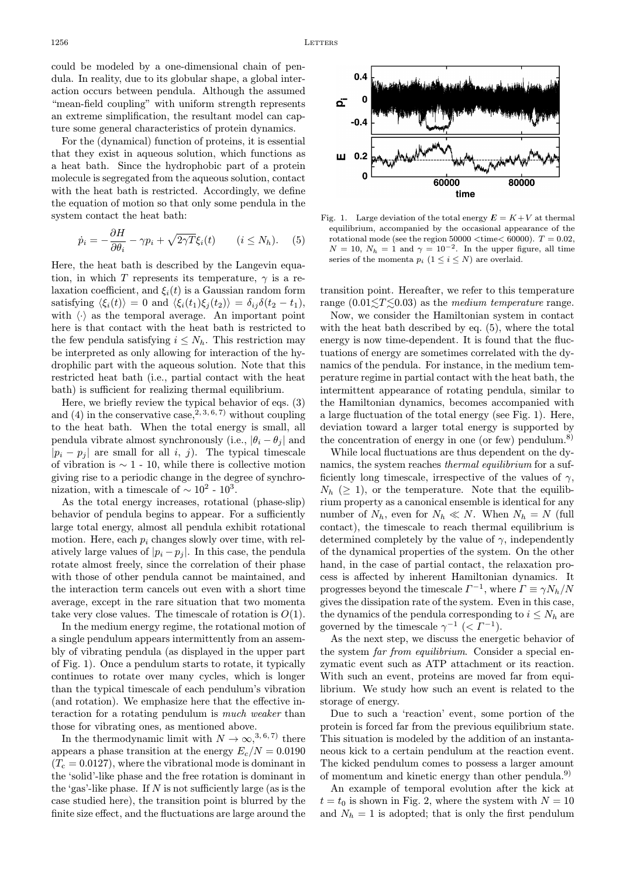could be modeled by a one-dimensional chain of pendula. In reality, due to its globular shape, a global interaction occurs between pendula. Although the assumed "mean-field coupling" with uniform strength represents an extreme simplification, the resultant model can capture some general characteristics of protein dynamics.

For the (dynamical) function of proteins, it is essential that they exist in aqueous solution, which functions as a heat bath. Since the hydrophobic part of a protein molecule is segregated from the aqueous solution, contact with the heat bath is restricted. Accordingly, we define the equation of motion so that only some pendula in the system contact the heat bath:

$$
\dot{p}_i = -\frac{\partial H}{\partial \theta_i} - \gamma p_i + \sqrt{2\gamma T} \xi_i(t) \qquad (i \le N_h). \quad (5)
$$

Here, the heat bath is described by the Langevin equation, in which T represents its temperature,  $\gamma$  is a relaxation coefficient, and  $\xi_i(t)$  is a Gaussian random form satisfying  $\langle \xi_i(t) \rangle = 0$  and  $\langle \xi_i(t_1) \xi_i(t_2) \rangle = \delta_{ij} \delta(t_2 - t_1),$ with  $\langle \cdot \rangle$  as the temporal average. An important point here is that contact with the heat bath is restricted to the few pendula satisfying  $i \leq N_h$ . This restriction may be interpreted as only allowing for interaction of the hydrophilic part with the aqueous solution. Note that this restricted heat bath (i.e., partial contact with the heat bath) is sufficient for realizing thermal equilibrium.

Here, we briefly review the typical behavior of eqs. (3) and (4) in the conservative case,  $^{2,3,6,7}$  without coupling to the heat bath. When the total energy is small, all pendula vibrate almost synchronously (i.e.,  $|\theta_i - \theta_j|$  and  $|p_i - p_j|$  are small for all i, j). The typical timescale of vibration is  $\sim$  1 - 10, while there is collective motion giving rise to a periodic change in the degree of synchronization, with a timescale of  $\sim 10^2$  -  $10^3$ .

As the total energy increases, rotational (phase-slip) behavior of pendula begins to appear. For a sufficiently large total energy, almost all pendula exhibit rotational motion. Here, each  $p_i$  changes slowly over time, with relatively large values of  $|p_i - p_j|$ . In this case, the pendula rotate almost freely, since the correlation of their phase with those of other pendula cannot be maintained, and the interaction term cancels out even with a short time average, except in the rare situation that two momenta take very close values. The timescale of rotation is  $O(1)$ .

In the medium energy regime, the rotational motion of a single pendulum appears intermittently from an assembly of vibrating pendula (as displayed in the upper part of Fig. 1). Once a pendulum starts to rotate, it typically continues to rotate over many cycles, which is longer than the typical timescale of each pendulum's vibration (and rotation). We emphasize here that the effective interaction for a rotating pendulum is much weaker than those for vibrating ones, as mentioned above.

appears a phase transition at the energy  $E_c/N = 0.0190$  $(T_c = 0.0127)$ , where the vibrational mode is dominant in the 'solid'-like phase and the free rotation is dominant in the 'gas'-like phase. If  $N$  is not sufficiently large (as is the case studied here), the transition point is blurred by the finite size effect, and the fluctuations are large around the In the thermodynamic limit with  $N \to \infty, ^{3,6,7}$  there



Fig. 1. Large deviation of the total energy  $E = K + V$  at thermal equilibrium, accompanied by the occasional appearance of the rotational mode (see the region  $50000 \ltimes \text{time} \lt 60000$ ).  $T = 0.02$ ,  $N = 10$ ,  $N_h = 1$  and  $\gamma = 10^{-2}$ . In the upper figure, all time series of the momenta  $p_i$   $(1 \leq i \leq N)$  are overlaid.

transition point. Hereafter, we refer to this temperature range  $(0.01 \leq T \leq 0.03)$  as the medium temperature range.

Now, we consider the Hamiltonian system in contact with the heat bath described by eq. (5), where the total energy is now time-dependent. It is found that the fluctuations of energy are sometimes correlated with the dynamics of the pendula. For instance, in the medium temperature regime in partial contact with the heat bath, the intermittent appearance of rotating pendula, similar to the Hamiltonian dynamics, becomes accompanied with a large fluctuation of the total energy (see Fig. 1). Here, deviation toward a larger total energy is supported by the concentration of energy in one (or few) pendulum.<sup>8)</sup>

While local fluctuations are thus dependent on the dynamics, the system reaches thermal equilibrium for a sufficiently long timescale, irrespective of the values of  $\gamma$ ,  $N_h$  ( $\geq$  1), or the temperature. Note that the equilibrium property as a canonical ensemble is identical for any number of  $N_h$ , even for  $N_h \ll N$ . When  $N_h = N$  (full contact), the timescale to reach thermal equilibrium is determined completely by the value of  $\gamma$ , independently of the dynamical properties of the system. On the other hand, in the case of partial contact, the relaxation process is affected by inherent Hamiltonian dynamics. It progresses beyond the timescale  $\Gamma^{-1}$ , where  $\Gamma \equiv \gamma N_h/N$ gives the dissipation rate of the system. Even in this case, the dynamics of the pendula corresponding to  $i \leq N_h$  are governed by the timescale  $\gamma^{-1}$  (<  $\Gamma^{-1}$ ).

As the next step, we discuss the energetic behavior of the system far from equilibrium. Consider a special enzymatic event such as ATP attachment or its reaction. With such an event, proteins are moved far from equilibrium. We study how such an event is related to the storage of energy.

Due to such a 'reaction' event, some portion of the protein is forced far from the previous equilibrium state. This situation is modeled by the addition of an instantaneous kick to a certain pendulum at the reaction event. The kicked pendulum comes to possess a larger amount of momentum and kinetic energy than other pendula.<sup>9)</sup>

An example of temporal evolution after the kick at  $t = t_0$  is shown in Fig. 2, where the system with  $N = 10$ and  $N_h = 1$  is adopted; that is only the first pendulum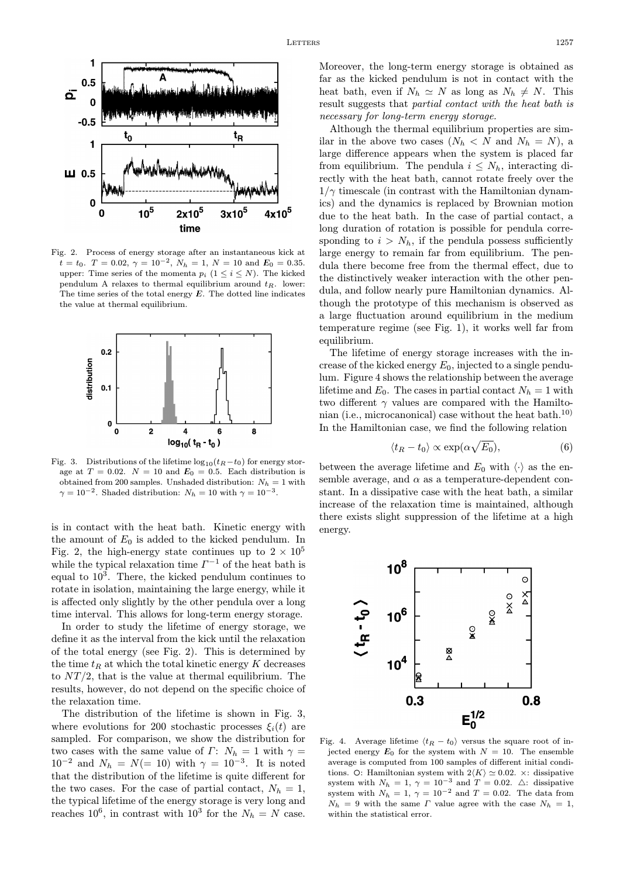

Fig. 2. Process of energy storage after an instantaneous kick at  $t = t_0$ .  $T = 0.02$ ,  $\gamma = 10^{-2}$ ,  $N_h = 1$ ,  $N = 10$  and  $E_0 = 0.35$ . upper: Time series of the momenta  $p_i$   $(1 \leq i \leq N)$ . The kicked pendulum A relaxes to thermal equilibrium around  $t_R$ . lower: The time series of the total energy  $E$ . The dotted line indicates the value at thermal equilibrium.



Fig. 3. Distributions of the lifetime  $\log_{10}(t_R-t_0)$  for energy storage at  $T = 0.02$ .  $N = 10$  and  $E_0 = 0.5$ . Each distribution is obtained from 200 samples. Unshaded distribution:  $N_h = 1$  with  $\gamma = 10^{-2}$ . Shaded distribution:  $N_h = 10$  with  $\gamma = 10^{-3}$ .

is in contact with the heat bath. Kinetic energy with the amount of  $E_0$  is added to the kicked pendulum. In Fig. 2, the high-energy state continues up to  $2 \times 10^5$ while the typical relaxation time  $\Gamma^{-1}$  of the heat bath is equal to  $10^3$ . There, the kicked pendulum continues to rotate in isolation, maintaining the large energy, while it is affected only slightly by the other pendula over a long time interval. This allows for long-term energy storage.

In order to study the lifetime of energy storage, we define it as the interval from the kick until the relaxation of the total energy (see Fig. 2). This is determined by the time  $t_R$  at which the total kinetic energy  $K$  decreases to  $NT/2$ , that is the value at thermal equilibrium. The results, however, do not depend on the specific choice of the relaxation time.

two cases with the same value of  $\Gamma: N_h = 1$  with  $\gamma =$  $10^{-2}$  and  $N_h = N(= 10)$  with  $\gamma = 10^{-3}$ . It is noted that the distribution of the lifetime is quite different for the two cases. For the case of partial contact,  $N_h = 1$ , the typical lifetime of the energy storage is very long and reaches 10<sup>6</sup>, in contrast with 10<sup>3</sup> for the  $N_h = N$  case. The distribution of the lifetime is shown in Fig. 3, where evolutions for 200 stochastic processes  $\xi_i(t)$  are sampled. For comparison, we show the distribution for Fig. 4. Average lifetime  $\langle t_R - t_0 \rangle$  versus the square root of in-

Moreover, the long-term energy storage is obtained as far as the kicked pendulum is not in contact with the heat bath, even if  $N_h \simeq N$  as long as  $N_h \neq N$ . This result suggests that partial contact with the heat bath is necessary for long-term energy storage.

Although the thermal equilibrium properties are similar in the above two cases  $(N_h < N \text{ and } N_h = N)$ , a large difference appears when the system is placed far from equilibrium. The pendula  $i \leq N_h$ , interacting directly with the heat bath, cannot rotate freely over the  $1/\gamma$  timescale (in contrast with the Hamiltonian dynamics) and the dynamics is replaced by Brownian motion due to the heat bath. In the case of partial contact, a long duration of rotation is possible for pendula corresponding to  $i>N_h$ , if the pendula possess sufficiently large energy to remain far from equilibrium. The pendula there become free from the thermal effect, due to the distinctively weaker interaction with the other pendula, and follow nearly pure Hamiltonian dynamics. Although the prototype of this mechanism is observed as a large fluctuation around equilibrium in the medium temperature regime (see Fig. 1), it works well far from equilibrium.

The lifetime of energy storage increases with the increase of the kicked energy  $E_0$ , injected to a single pendulum. Figure 4 shows the relationship between the average lifetime and  $E_0$ . The cases in partial contact  $N_h = 1$  with two different  $\gamma$  values are compared with the Hamiltonian (i.e., microcanonical) case without the heat bath.<sup>10)</sup> In the Hamiltonian case, we find the following relation

$$
\langle t_R - t_0 \rangle \propto \exp(\alpha \sqrt{E_0}),\tag{6}
$$

between the average lifetime and  $E_0$  with  $\langle \cdot \rangle$  as the ensemble average, and  $\alpha$  as a temperature-dependent constant. In a dissipative case with the heat bath, a similar increase of the relaxation time is maintained, although there exists slight suppression of the lifetime at a high energy.



jected energy  $E_0$  for the system with  $N = 10$ . The ensemble average is computed from 100 samples of different initial conditions.  $\bigcirc$ : Hamiltonian system with  $2\langle K \rangle \simeq 0.02$ .  $\times$ : dissipative system with  $N_h = 1$ ,  $\gamma = 10^{-3}$  and  $T = 0.02$ .  $\triangle$ : dissipative system with  $N_h = 1$ ,  $\gamma = 10^{-2}$  and  $T = 0.02$ . The data from  $N_h = 9$  with the same  $\Gamma$  value agree with the case  $N_h = 1$ , within the statistical error.